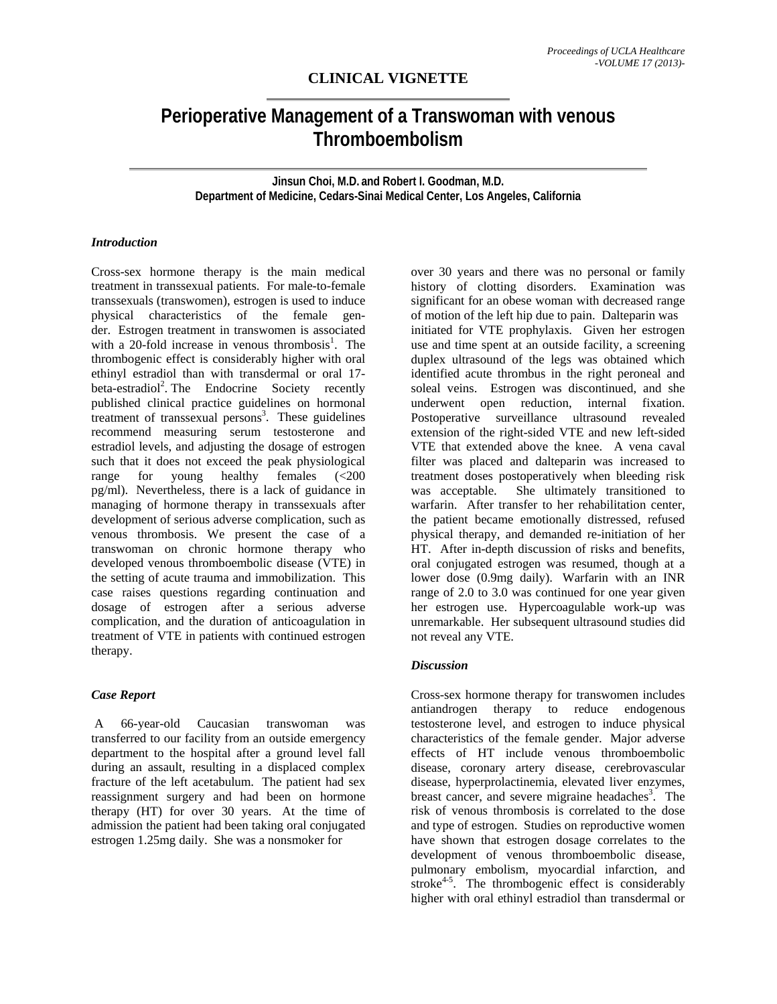# **CLINICAL VIGNETTE**

# **Perioperative Management of a Transwoman with venous Thromboembolism**

**Jinsun Choi, M.D. and Robert I. Goodman, M.D. Department of Medicine, Cedars-Sinai Medical Center, Los Angeles, California** 

#### *Introduction*

Cross-sex hormone therapy is the main medical treatment in transsexual patients. For male-to-female transsexuals (transwomen), estrogen is used to induce physical characteristics of the female gender. Estrogen treatment in transwomen is associated with a 20-fold increase in venous thrombosis<sup>1</sup>. The thrombogenic effect is considerably higher with oral ethinyl estradiol than with transdermal or oral 17 beta-estradiol<sup>2</sup>. The Endocrine Society recently published clinical practice guidelines on hormonal treatment of transsexual persons<sup>3</sup>. These guidelines recommend measuring serum testosterone and estradiol levels, and adjusting the dosage of estrogen such that it does not exceed the peak physiological range for young healthy females (<200 pg/ml). Nevertheless, there is a lack of guidance in managing of hormone therapy in transsexuals after development of serious adverse complication, such as venous thrombosis. We present the case of a transwoman on chronic hormone therapy who developed venous thromboembolic disease (VTE) in the setting of acute trauma and immobilization. This case raises questions regarding continuation and dosage of estrogen after a serious adverse complication, and the duration of anticoagulation in treatment of VTE in patients with continued estrogen therapy.

### *Case Report*

 A 66-year-old Caucasian transwoman was transferred to our facility from an outside emergency department to the hospital after a ground level fall during an assault, resulting in a displaced complex fracture of the left acetabulum. The patient had sex reassignment surgery and had been on hormone therapy (HT) for over 30 years. At the time of admission the patient had been taking oral conjugated estrogen 1.25mg daily. She was a nonsmoker for

over 30 years and there was no personal or family history of clotting disorders. Examination was significant for an obese woman with decreased range of motion of the left hip due to pain. Dalteparin was initiated for VTE prophylaxis. Given her estrogen use and time spent at an outside facility, a screening duplex ultrasound of the legs was obtained which identified acute thrombus in the right peroneal and soleal veins. Estrogen was discontinued, and she underwent open reduction, internal fixation. Postoperative surveillance ultrasound revealed extension of the right-sided VTE and new left-sided VTE that extended above the knee. A vena caval filter was placed and dalteparin was increased to treatment doses postoperatively when bleeding risk was acceptable. She ultimately transitioned to warfarin. After transfer to her rehabilitation center, the patient became emotionally distressed, refused physical therapy, and demanded re-initiation of her HT. After in-depth discussion of risks and benefits, oral conjugated estrogen was resumed, though at a lower dose (0.9mg daily). Warfarin with an INR range of 2.0 to 3.0 was continued for one year given her estrogen use. Hypercoagulable work-up was unremarkable. Her subsequent ultrasound studies did not reveal any VTE.

# *Discussion*

Cross-sex hormone therapy for transwomen includes antiandrogen therapy to reduce endogenous testosterone level, and estrogen to induce physical characteristics of the female gender. Major adverse effects of HT include venous thromboembolic disease, coronary artery disease, cerebrovascular disease, hyperprolactinemia, elevated liver enzymes, breast cancer, and severe migraine headaches<sup>3</sup>. The risk of venous thrombosis is correlated to the dose and type of estrogen. Studies on reproductive women have shown that estrogen dosage correlates to the development of venous thromboembolic disease, pulmonary embolism, myocardial infarction, and stroke<sup>4-5</sup>. The thrombogenic effect is considerably higher with oral ethinyl estradiol than transdermal or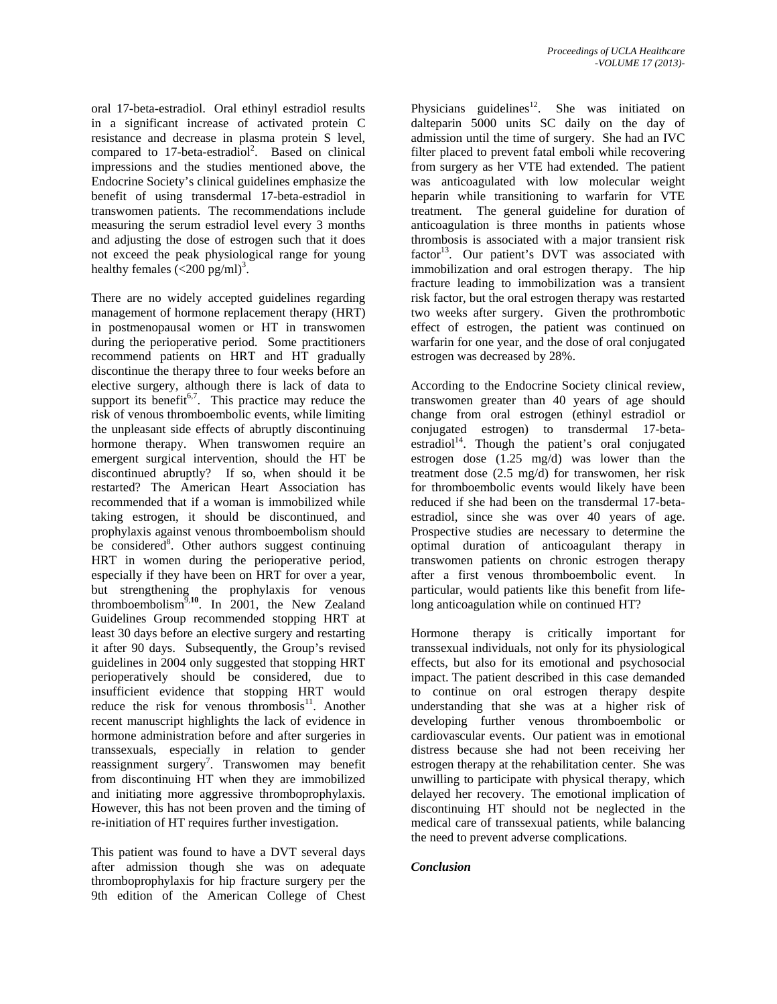oral 17-beta-estradiol. Oral ethinyl estradiol results in a significant increase of activated protein C resistance and decrease in plasma protein S level, compared to  $17$ -beta-estradiol<sup>2</sup>. Based on clinical impressions and the studies mentioned above, the Endocrine Society's clinical guidelines emphasize the benefit of using transdermal 17-beta-estradiol in transwomen patients. The recommendations include measuring the serum estradiol level every 3 months and adjusting the dose of estrogen such that it does not exceed the peak physiological range for young healthy females  $\left(\langle 200 \text{ pg/ml}\right)^3$ .

There are no widely accepted guidelines regarding management of hormone replacement therapy (HRT) in postmenopausal women or HT in transwomen during the perioperative period. Some practitioners recommend patients on HRT and HT gradually discontinue the therapy three to four weeks before an elective surgery, although there is lack of data to support its benefit<sup> $6,7$ </sup>. This practice may reduce the risk of venous thromboembolic events, while limiting the unpleasant side effects of abruptly discontinuing hormone therapy. When transwomen require an emergent surgical intervention, should the HT be discontinued abruptly? If so, when should it be restarted? The American Heart Association has recommended that if a woman is immobilized while taking estrogen, it should be discontinued, and prophylaxis against venous thromboembolism should be considered<sup>8</sup>. Other authors suggest continuing HRT in women during the perioperative period, especially if they have been on HRT for over a year, but strengthening the prophylaxis for venous thromboembolism<sup>9,10</sup>. In 2001, the New Zealand Guidelines Group recommended stopping HRT at least 30 days before an elective surgery and restarting it after 90 days. Subsequently, the Group's revised guidelines in 2004 only suggested that stopping HRT perioperatively should be considered, due to insufficient evidence that stopping HRT would reduce the risk for venous thrombosis<sup>11</sup>. Another recent manuscript highlights the lack of evidence in hormone administration before and after surgeries in transsexuals, especially in relation to gender reassignment surgery<sup>7</sup>. Transwomen may benefit from discontinuing HT when they are immobilized and initiating more aggressive thromboprophylaxis. However, this has not been proven and the timing of re-initiation of HT requires further investigation.

This patient was found to have a DVT several days after admission though she was on adequate thromboprophylaxis for hip fracture surgery per the 9th edition of the American College of Chest Physicians guidelines<sup>12</sup>. She was initiated on dalteparin 5000 units SC daily on the day of admission until the time of surgery. She had an IVC filter placed to prevent fatal emboli while recovering from surgery as her VTE had extended. The patient was anticoagulated with low molecular weight heparin while transitioning to warfarin for VTE treatment. The general guideline for duration of anticoagulation is three months in patients whose thrombosis is associated with a major transient risk factor<sup>13</sup>. Our patient's DVT was associated with immobilization and oral estrogen therapy. The hip fracture leading to immobilization was a transient risk factor, but the oral estrogen therapy was restarted two weeks after surgery. Given the prothrombotic effect of estrogen, the patient was continued on warfarin for one year, and the dose of oral conjugated estrogen was decreased by 28%.

According to the Endocrine Society clinical review, transwomen greater than 40 years of age should change from oral estrogen (ethinyl estradiol or conjugated estrogen) to transdermal 17-betaestradiol<sup>14</sup>. Though the patient's oral conjugated estrogen dose (1.25 mg/d) was lower than the treatment dose (2.5 mg/d) for transwomen, her risk for thromboembolic events would likely have been reduced if she had been on the transdermal 17-betaestradiol, since she was over 40 years of age. Prospective studies are necessary to determine the optimal duration of anticoagulant therapy in transwomen patients on chronic estrogen therapy after a first venous thromboembolic event. In particular, would patients like this benefit from lifelong anticoagulation while on continued HT?

Hormone therapy is critically important for transsexual individuals, not only for its physiological effects, but also for its emotional and psychosocial impact. The patient described in this case demanded to continue on oral estrogen therapy despite understanding that she was at a higher risk of developing further venous thromboembolic or cardiovascular events. Our patient was in emotional distress because she had not been receiving her estrogen therapy at the rehabilitation center. She was unwilling to participate with physical therapy, which delayed her recovery. The emotional implication of discontinuing HT should not be neglected in the medical care of transsexual patients, while balancing the need to prevent adverse complications.

#### *Conclusion*